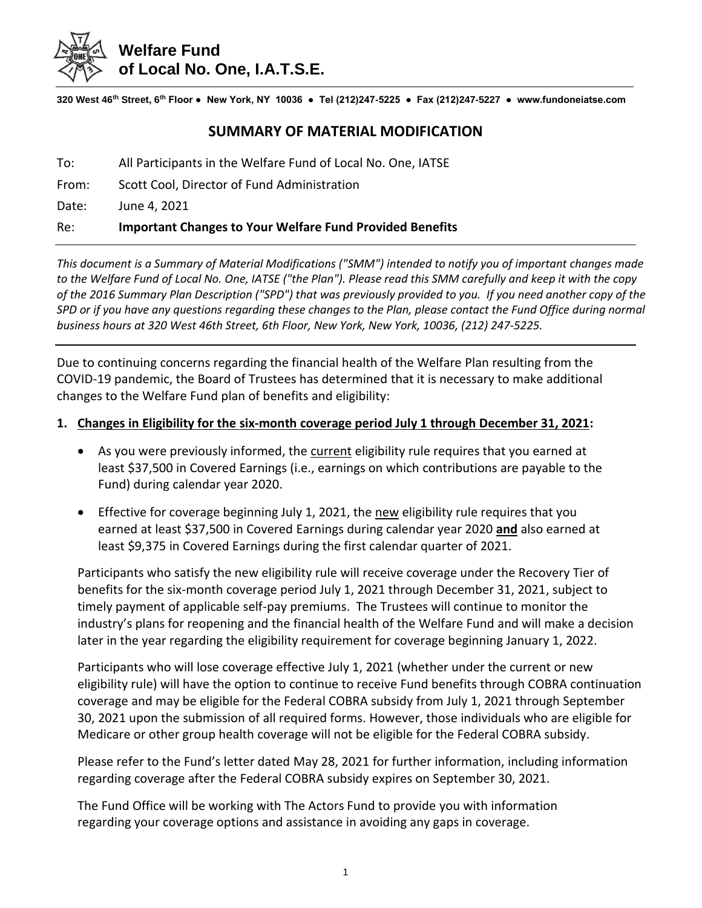

# **Welfare Fund of Local No. One, I.A.T.S.E.**

**320 West 46th Street, 6th Floor ● New York, NY 10036 ● Tel (212)247-5225 ● Fax (212)247-5227 ● www.fundoneiatse.com**

## **SUMMARY OF MATERIAL MODIFICATION**

To: All Participants in the Welfare Fund of Local No. One, IATSE

From: Scott Cool, Director of Fund Administration

Date: June 4, 2021

### Re: **Important Changes to Your Welfare Fund Provided Benefits**

*This document is a Summary of Material Modifications ("SMM") intended to notify you of important changes made to the Welfare Fund of Local No. One, IATSE ("the Plan"). Please read this SMM carefully and keep it with the copy of the 2016 Summary Plan Description ("SPD") that was previously provided to you. If you need another copy of the SPD or if you have any questions regarding these changes to the Plan, please contact the Fund Office during normal business hours at 320 West 46th Street, 6th Floor, New York, New York, 10036, (212) 247-5225.*

Due to continuing concerns regarding the financial health of the Welfare Plan resulting from the COVID-19 pandemic, the Board of Trustees has determined that it is necessary to make additional changes to the Welfare Fund plan of benefits and eligibility:

#### **1. Changes in Eligibility for the six-month coverage period July 1 through December 31, 2021:**

- As you were previously informed, the current eligibility rule requires that you earned at least \$37,500 in Covered Earnings (i.e., earnings on which contributions are payable to the Fund) during calendar year 2020.
- Effective for coverage beginning July 1, 2021, the new eligibility rule requires that you earned at least \$37,500 in Covered Earnings during calendar year 2020 **and** also earned at least \$9,375 in Covered Earnings during the first calendar quarter of 2021.

Participants who satisfy the new eligibility rule will receive coverage under the Recovery Tier of benefits for the six-month coverage period July 1, 2021 through December 31, 2021, subject to timely payment of applicable self-pay premiums. The Trustees will continue to monitor the industry's plans for reopening and the financial health of the Welfare Fund and will make a decision later in the year regarding the eligibility requirement for coverage beginning January 1, 2022.

Participants who will lose coverage effective July 1, 2021 (whether under the current or new eligibility rule) will have the option to continue to receive Fund benefits through COBRA continuation coverage and may be eligible for the Federal COBRA subsidy from July 1, 2021 through September 30, 2021 upon the submission of all required forms. However, those individuals who are eligible for Medicare or other group health coverage will not be eligible for the Federal COBRA subsidy.

Please refer to the Fund's letter dated May 28, 2021 for further information, including information regarding coverage after the Federal COBRA subsidy expires on September 30, 2021.

The Fund Office will be working with The Actors Fund to provide you with information regarding your coverage options and assistance in avoiding any gaps in coverage.